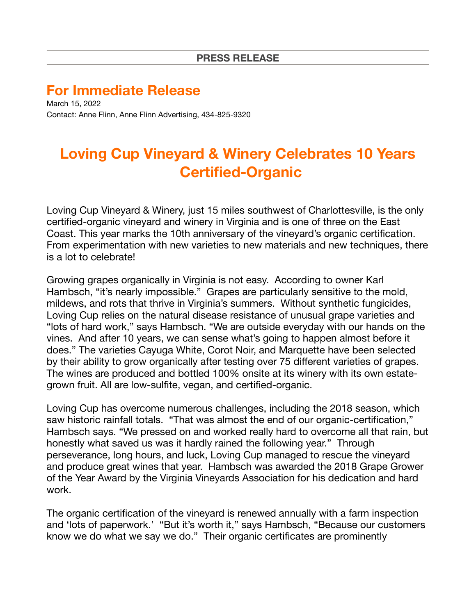## **For Immediate Release**

March 15, 2022 Contact: Anne Flinn, Anne Flinn Advertising, 434-825-9320

## **Loving Cup Vineyard & Winery Celebrates 10 Years Certified-Organic**

Loving Cup Vineyard & Winery, just 15 miles southwest of Charlottesville, is the only certified-organic vineyard and winery in Virginia and is one of three on the East Coast. This year marks the 10th anniversary of the vineyard's organic certification. From experimentation with new varieties to new materials and new techniques, there is a lot to celebrate!

Growing grapes organically in Virginia is not easy. According to owner Karl Hambsch, "it's nearly impossible." Grapes are particularly sensitive to the mold, mildews, and rots that thrive in Virginia's summers. Without synthetic fungicides, Loving Cup relies on the natural disease resistance of unusual grape varieties and "lots of hard work," says Hambsch. "We are outside everyday with our hands on the vines. And after 10 years, we can sense what's going to happen almost before it does." The varieties Cayuga White, Corot Noir, and Marquette have been selected by their ability to grow organically after testing over 75 different varieties of grapes. The wines are produced and bottled 100% onsite at its winery with its own estategrown fruit. All are low-sulfite, vegan, and certified-organic.

Loving Cup has overcome numerous challenges, including the 2018 season, which saw historic rainfall totals. "That was almost the end of our organic-certification," Hambsch says. "We pressed on and worked really hard to overcome all that rain, but honestly what saved us was it hardly rained the following year." Through perseverance, long hours, and luck, Loving Cup managed to rescue the vineyard and produce great wines that year. Hambsch was awarded the 2018 Grape Grower of the Year Award by the Virginia Vineyards Association for his dedication and hard work.

The organic certification of the vineyard is renewed annually with a farm inspection and 'lots of paperwork.' "But it's worth it," says Hambsch, "Because our customers know we do what we say we do." Their organic certificates are prominently